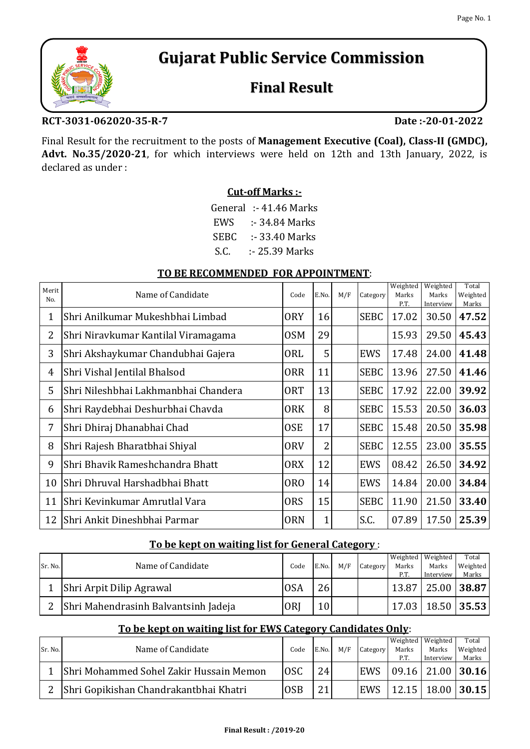# **Gujarat Public Service Commission**

## **Final Result**

#### **RCT-3031-062020-35-R-7**

**Date :-20-01-2022**

Final Result for the recruitment to the posts of **Management Executive (Coal), Class-II (GMDC), Advt. No.35/2020-21**, for which interviews were held on 12th and 13th January, 2022, is declared as under :

#### **Cut-off Marks :-**

| General | $: 41.46$ Marks |
|---------|-----------------|
| EWS     | :- 34.84 Marks  |
| SEBC.   | :- 33.40 Marks  |
| S.C.    | :- 25.39 Marks  |

#### **TO BE RECOMMENDED FOR APPOINTMENT**:

| Merit<br>N <sub>O</sub> | Name of Candidate                    | Code             | E.No.          | M/F | Category    | Weighted<br>Marks<br>P.T. | Weighted<br>Marks<br>Interview | Total<br>Weighted<br>Marks |
|-------------------------|--------------------------------------|------------------|----------------|-----|-------------|---------------------------|--------------------------------|----------------------------|
| 1                       | Shri Anilkumar Mukeshbhai Limbad     | <b>ORY</b>       | 16             |     | <b>SEBC</b> | 17.02                     | 30.50                          | 47.52                      |
| 2                       | Shri Niravkumar Kantilal Viramagama  | 0SM              | 29             |     |             | 15.93                     | 29.50                          | 45.43                      |
| 3                       | Shri Akshaykumar Chandubhai Gajera   | <b>ORL</b>       | 5              |     | <b>EWS</b>  | 17.48                     | 24.00                          | 41.48                      |
| 4                       | Shri Vishal Jentilal Bhalsod         | <b>ORR</b>       | 11             |     | <b>SEBC</b> | 13.96                     | 27.50                          | 41.46                      |
| 5                       | Shri Nileshbhai Lakhmanbhai Chandera | <b>ORT</b>       | 13             |     | <b>SEBC</b> | 17.92                     | 22.00                          | 39.92                      |
| 6                       | Shri Raydebhai Deshurbhai Chavda     | <b>ORK</b>       | 8              |     | <b>SEBC</b> | 15.53                     | 20.50                          | 36.03                      |
| 7                       | Shri Dhiraj Dhanabhai Chad           | <b>OSE</b>       | 17             |     | <b>SEBC</b> | 15.48                     | 20.50                          | 35.98                      |
| 8                       | Shri Rajesh Bharatbhai Shiyal        | <b>ORV</b>       | $\overline{2}$ |     | <b>SEBC</b> | 12.55                     | 23.00                          | 35.55                      |
| 9                       | Shri Bhavik Rameshchandra Bhatt      | <b>ORX</b>       | 12             |     | <b>EWS</b>  | 08.42                     | 26.50                          | 34.92                      |
| 10                      | Shri Dhruval Harshadbhai Bhatt       | 0 <sub>R</sub> O | 14             |     | <b>EWS</b>  | 14.84                     | 20.00                          | 34.84                      |
| 11                      | Shri Kevinkumar Amrutlal Vara        | <b>ORS</b>       | 15             |     | <b>SEBC</b> | 11.90                     | 21.50                          | 33.40                      |
| 12                      | Shri Ankit Dineshbhai Parmar         | <b>ORN</b>       | $\mathbf 1$    |     | S.C.        | 07.89                     | 17.50                          | 25.39                      |

#### **To be kept on waiting list for General Category** :

|         |                                      |            |       |     |          |       | Weighted Weighted | Total       |
|---------|--------------------------------------|------------|-------|-----|----------|-------|-------------------|-------------|
| Sr. No. | Name of Candidate                    | Code       | E.No. | M/F | Category | Marks | Marks             | Weighted    |
|         |                                      |            |       |     |          | P.T.  | Interview         | Marks       |
|         | Shri Arpit Dilip Agrawal             | <b>OSA</b> | 26    |     |          | 13.87 |                   | 25.00 38.87 |
|         | Shri Mahendrasinh Balvantsinh Jadeja | ORI        | 10    |     |          | 17.03 |                   | 18.50 35.53 |

### **To be kept on waiting list for EWS Category Candidates Only**:

|         |                                         |            |       |     |            |       | Weighted Weighted       | Total    |
|---------|-----------------------------------------|------------|-------|-----|------------|-------|-------------------------|----------|
| Sr. No. | Name of Candidate                       | Code       | E.No. | M/F | Category   | Marks | Marks                   | Weighted |
|         |                                         |            |       |     |            | P.T   | Interview               | Marks    |
|         | Shri Mohammed Sohel Zakir Hussain Memon | <b>OSC</b> | 24    |     | <b>EWS</b> |       | $09.16$   21.00   30.16 |          |
|         | Shri Gopikishan Chandrakantbhai Khatri  | <b>OSB</b> | 21    |     | EWS        |       | $12.15$   18.00   30.15 |          |